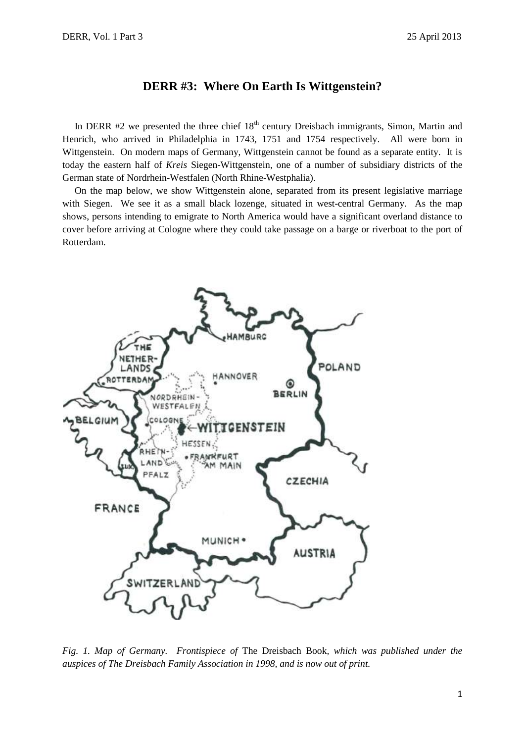# **DERR #3: Where On Earth Is Wittgenstein?**

In DERR  $#2$  we presented the three chief  $18<sup>th</sup>$  century Dreisbach immigrants, Simon, Martin and Henrich, who arrived in Philadelphia in 1743, 1751 and 1754 respectively. All were born in Wittgenstein. On modern maps of Germany, Wittgenstein cannot be found as a separate entity. It is today the eastern half of *Kreis* Siegen-Wittgenstein, one of a number of subsidiary districts of the German state of Nordrhein-Westfalen (North Rhine-Westphalia).

 On the map below, we show Wittgenstein alone, separated from its present legislative marriage with Siegen. We see it as a small black lozenge, situated in west-central Germany. As the map shows, persons intending to emigrate to North America would have a significant overland distance to cover before arriving at Cologne where they could take passage on a barge or riverboat to the port of Rotterdam.



*Fig. 1. Map of Germany. Frontispiece of* The Dreisbach Book*, which was published under the auspices of The Dreisbach Family Association in 1998, and is now out of print.*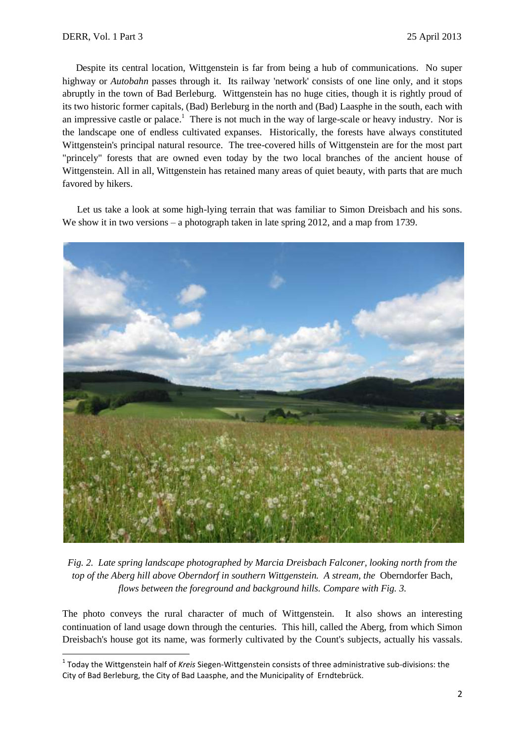1

 Despite its central location, Wittgenstein is far from being a hub of communications. No super highway or *Autobahn* passes through it. Its railway 'network' consists of one line only, and it stops abruptly in the town of Bad Berleburg. Wittgenstein has no huge cities, though it is rightly proud of its two historic former capitals, (Bad) Berleburg in the north and (Bad) Laasphe in the south, each with an impressive castle or palace.<sup>1</sup> There is not much in the way of large-scale or heavy industry. Nor is the landscape one of endless cultivated expanses. Historically, the forests have always constituted Wittgenstein's principal natural resource. The tree-covered hills of Wittgenstein are for the most part "princely" forests that are owned even today by the two local branches of the ancient house of Wittgenstein. All in all, Wittgenstein has retained many areas of quiet beauty, with parts that are much favored by hikers.

 Let us take a look at some high-lying terrain that was familiar to Simon Dreisbach and his sons. We show it in two versions – a photograph taken in late spring 2012, and a map from 1739.



*Fig. 2. Late spring landscape photographed by Marcia Dreisbach Falconer, looking north from the top of the Aberg hill above Oberndorf in southern Wittgenstein. A stream, the* Oberndorfer Bach, *flows between the foreground and background hills. Compare with Fig. 3.*

The photo conveys the rural character of much of Wittgenstein. It also shows an interesting continuation of land usage down through the centuries. This hill, called the Aberg, from which Simon Dreisbach's house got its name, was formerly cultivated by the Count's subjects, actually his vassals.

<sup>1</sup> Today the Wittgenstein half of *Kreis* Siegen-Wittgenstein consists of three administrative sub-divisions: the City of Bad Berleburg, the City of Bad Laasphe, and the Municipality of Erndtebrück.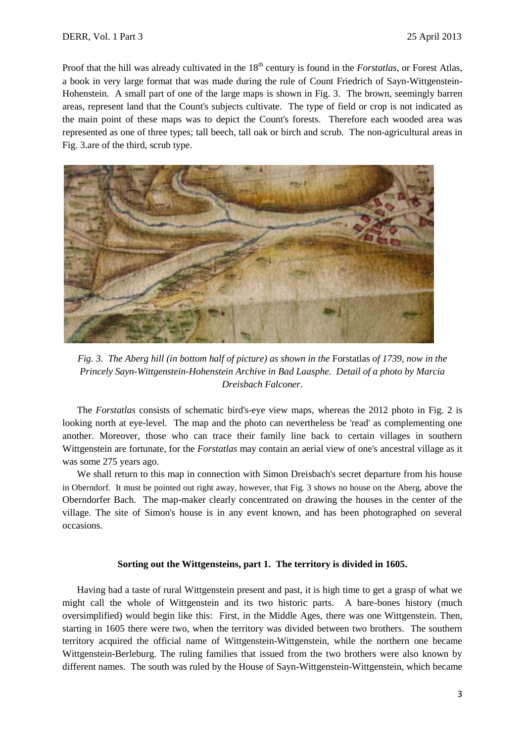Proof that the hill was already cultivated in the 18<sup>th</sup> century is found in the *Forstatlas*, or Forest Atlas, a book in very large format that was made during the rule of Count Friedrich of Sayn-Wittgenstein-Hohenstein. A small part of one of the large maps is shown in Fig. 3. The brown, seemingly barren areas, represent land that the Count's subjects cultivate. The type of field or crop is not indicated as the main point of these maps was to depict the Count's forests. Therefore each wooded area was represented as one of three types; tall beech, tall oak or birch and scrub. The non-agricultural areas in Fig. 3.are of the third, scrub type.



*Fig. 3. The Aberg hill (in bottom half of picture) as shown in the* Forstatlas *of 1739, now in the Princely Sayn-Wittgenstein-Hohenstein Archive in Bad Laasphe. Detail of a photo by Marcia Dreisbach Falconer.*

 The *Forstatlas* consists of schematic bird's-eye view maps, whereas the 2012 photo in Fig. 2 is looking north at eye-level. The map and the photo can nevertheless be 'read' as complementing one another. Moreover, those who can trace their family line back to certain villages in southern Wittgenstein are fortunate, for the *Forstatlas* may contain an aerial view of one's ancestral village as it was some 275 years ago.

 We shall return to this map in connection with Simon Dreisbach's secret departure from his house in Oberndorf. It must be pointed out right away, however, that Fig. 3 shows no house on the Aberg, above the Oberndorfer Bach. The map-maker clearly concentrated on drawing the houses in the center of the village. The site of Simon's house is in any event known, and has been photographed on several occasions.

#### **Sorting out the Wittgensteins, part 1. The territory is divided in 1605.**

 Having had a taste of rural Wittgenstein present and past, it is high time to get a grasp of what we might call the whole of Wittgenstein and its two historic parts. A bare-bones history (much oversimplified) would begin like this: First, in the Middle Ages, there was one Wittgenstein. Then, starting in 1605 there were two, when the territory was divided between two brothers. The southern territory acquired the official name of Wittgenstein-Wittgenstein, while the northern one became Wittgenstein-Berleburg. The ruling families that issued from the two brothers were also known by different names. The south was ruled by the House of Sayn-Wittgenstein-Wittgenstein, which became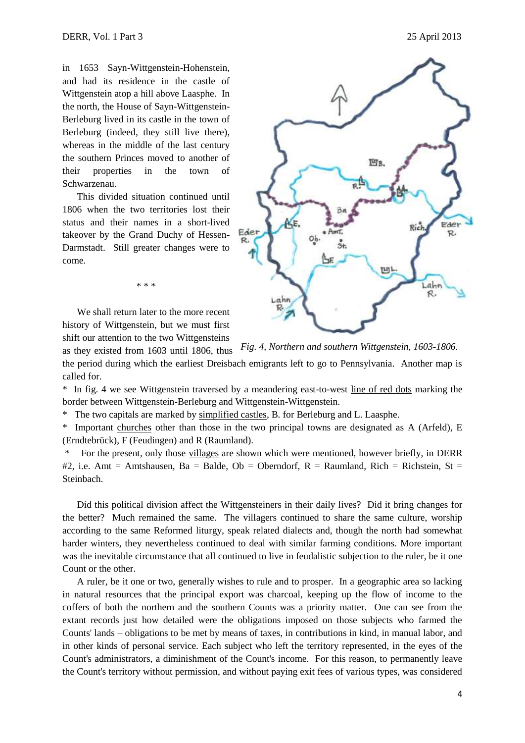in 1653 Sayn-Wittgenstein-Hohenstein, and had its residence in the castle of Wittgenstein atop a hill above Laasphe. In the north, the House of Sayn-Wittgenstein-Berleburg lived in its castle in the town of Berleburg (indeed, they still live there), whereas in the middle of the last century the southern Princes moved to another of their properties in the town of Schwarzenau.

 This divided situation continued until 1806 when the two territories lost their status and their names in a short-lived takeover by the Grand Duchy of Hessen-Darmstadt. Still greater changes were to come.

 We shall return later to the more recent history of Wittgenstein, but we must first shift our attention to the two Wittgensteins

\* \* \*



as they existed from 1603 until 1806, thus the period during which the earliest Dreisbach emigrants left to go to Pennsylvania. Another map is called for. *Fig. 4, Northern and southern Wittgenstein, 1603-1806.*

\* In fig. 4 we see Wittgenstein traversed by a meandering east-to-west line of red dots marking the border between Wittgenstein-Berleburg and Wittgenstein-Wittgenstein.

The two capitals are marked by simplified castles, B. for Berleburg and L. Laasphe.

\* Important churches other than those in the two principal towns are designated as A (Arfeld), E (Erndtebrück), F (Feudingen) and R (Raumland).

For the present, only those villages are shown which were mentioned, however briefly, in DERR #2, i.e. Amt = Amtshausen, Ba = Balde, Ob = Oberndorf,  $R =$  Raumland, Rich = Richstein, St = Steinbach.

 Did this political division affect the Wittgensteiners in their daily lives? Did it bring changes for the better? Much remained the same. The villagers continued to share the same culture, worship according to the same Reformed liturgy, speak related dialects and, though the north had somewhat harder winters, they nevertheless continued to deal with similar farming conditions. More important was the inevitable circumstance that all continued to live in feudalistic subjection to the ruler, be it one Count or the other.

 A ruler, be it one or two, generally wishes to rule and to prosper. In a geographic area so lacking in natural resources that the principal export was charcoal, keeping up the flow of income to the coffers of both the northern and the southern Counts was a priority matter. One can see from the extant records just how detailed were the obligations imposed on those subjects who farmed the Counts' lands – obligations to be met by means of taxes, in contributions in kind, in manual labor, and in other kinds of personal service. Each subject who left the territory represented, in the eyes of the Count's administrators, a diminishment of the Count's income. For this reason, to permanently leave the Count's territory without permission, and without paying exit fees of various types, was considered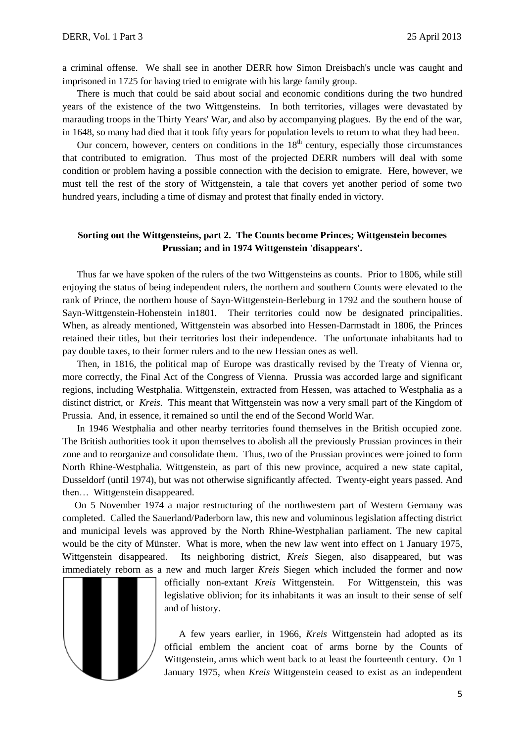a criminal offense. We shall see in another DERR how Simon Dreisbach's uncle was caught and imprisoned in 1725 for having tried to emigrate with his large family group.

 There is much that could be said about social and economic conditions during the two hundred years of the existence of the two Wittgensteins. In both territories, villages were devastated by marauding troops in the Thirty Years' War, and also by accompanying plagues. By the end of the war, in 1648, so many had died that it took fifty years for population levels to return to what they had been.

Our concern, however, centers on conditions in the  $18<sup>th</sup>$  century, especially those circumstances that contributed to emigration. Thus most of the projected DERR numbers will deal with some condition or problem having a possible connection with the decision to emigrate. Here, however, we must tell the rest of the story of Wittgenstein, a tale that covers yet another period of some two hundred years, including a time of dismay and protest that finally ended in victory.

## **Sorting out the Wittgensteins, part 2. The Counts become Princes; Wittgenstein becomes Prussian; and in 1974 Wittgenstein 'disappears'.**

 Thus far we have spoken of the rulers of the two Wittgensteins as counts. Prior to 1806, while still enjoying the status of being independent rulers, the northern and southern Counts were elevated to the rank of Prince, the northern house of Sayn-Wittgenstein-Berleburg in 1792 and the southern house of Sayn-Wittgenstein-Hohenstein in1801. Their territories could now be designated principalities. When, as already mentioned, Wittgenstein was absorbed into Hessen-Darmstadt in 1806, the Princes retained their titles, but their territories lost their independence. The unfortunate inhabitants had to pay double taxes, to their former rulers and to the new Hessian ones as well.

 Then, in 1816, the political map of Europe was drastically revised by the Treaty of Vienna or, more correctly, the Final Act of the Congress of Vienna. Prussia was accorded large and significant regions, including Westphalia. Wittgenstein, extracted from Hessen, was attached to Westphalia as a distinct district, or *Kreis.* This meant that Wittgenstein was now a very small part of the Kingdom of Prussia. And, in essence, it remained so until the end of the Second World War.

 In 1946 Westphalia and other nearby territories found themselves in the British occupied zone. The British authorities took it upon themselves to abolish all the previously Prussian provinces in their zone and to reorganize and consolidate them. Thus, two of the Prussian provinces were joined to form North Rhine-Westphalia. Wittgenstein, as part of this new province, acquired a new state capital, Dusseldorf (until 1974), but was not otherwise significantly affected. Twenty-eight years passed. And then… Wittgenstein disappeared.

 On 5 November 1974 a major restructuring of the northwestern part of Western Germany was completed. Called the Sauerland/Paderborn law, this new and voluminous legislation affecting district and municipal levels was approved by the North Rhine-Westphalian parliament. The new capital would be the city of Münster. What is more, when the new law went into effect on 1 January 1975, Wittgenstein disappeared. Its neighboring district, *Kreis* Siegen, also disappeared, but was immediately reborn as a new and much larger *Kreis* Siegen which included the former and now



officially non-extant *Kreis* Wittgenstein. For Wittgenstein, this was legislative oblivion; for its inhabitants it was an insult to their sense of self and of history.

 A few years earlier, in 1966, *Kreis* Wittgenstein had adopted as its official emblem the ancient coat of arms borne by the Counts of Wittgenstein, arms which went back to at least the fourteenth century. On 1 January 1975, when *Kreis* Wittgenstein ceased to exist as an independent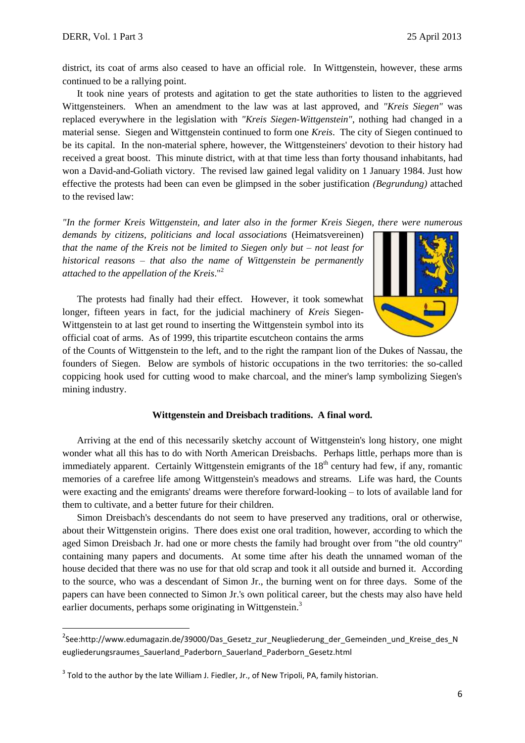1

district, its coat of arms also ceased to have an official role. In Wittgenstein, however, these arms continued to be a rallying point.

 It took nine years of protests and agitation to get the state authorities to listen to the aggrieved Wittgensteiners. When an amendment to the law was at last approved, and *"Kreis Siegen"* was replaced everywhere in the legislation with *"Kreis Siegen-Wittgenstein"*, nothing had changed in a material sense. Siegen and Wittgenstein continued to form one *Kreis*. The city of Siegen continued to be its capital. In the non-material sphere, however, the Wittgensteiners' devotion to their history had received a great boost. This minute district, with at that time less than forty thousand inhabitants, had won a David-and-Goliath victory. The revised law gained legal validity on 1 January 1984. Just how effective the protests had been can even be glimpsed in the sober justification *(Begrundung)* attached to the revised law:

*"In the former Kreis Wittgenstein, and later also in the former Kreis Siegen, there were numerous* 

*demands by citizens, politicians and local associations* (Heimatsvereinen) *that the name of the Kreis not be limited to Siegen only but – not least for historical reasons – that also the name of Wittgenstein be permanently attached to the appellation of the Kreis*."<sup>2</sup>

 The protests had finally had their effect. However, it took somewhat longer, fifteen years in fact, for the judicial machinery of *Kreis* Siegen-Wittgenstein to at last get round to inserting the Wittgenstein symbol into its official coat of arms. As of 1999, this tripartite escutcheon contains the arms



of the Counts of Wittgenstein to the left, and to the right the rampant lion of the Dukes of Nassau, the founders of Siegen. Below are symbols of historic occupations in the two territories: the so-called coppicing hook used for cutting wood to make charcoal, and the miner's lamp symbolizing Siegen's mining industry.

### **Wittgenstein and Dreisbach traditions. A final word.**

 Arriving at the end of this necessarily sketchy account of Wittgenstein's long history, one might wonder what all this has to do with North American Dreisbachs. Perhaps little, perhaps more than is immediately apparent. Certainly Wittgenstein emigrants of the  $18<sup>th</sup>$  century had few, if any, romantic memories of a carefree life among Wittgenstein's meadows and streams. Life was hard, the Counts were exacting and the emigrants' dreams were therefore forward-looking – to lots of available land for them to cultivate, and a better future for their children.

 Simon Dreisbach's descendants do not seem to have preserved any traditions, oral or otherwise, about their Wittgenstein origins. There does exist one oral tradition, however, according to which the aged Simon Dreisbach Jr. had one or more chests the family had brought over from "the old country" containing many papers and documents. At some time after his death the unnamed woman of the house decided that there was no use for that old scrap and took it all outside and burned it. According to the source, who was a descendant of Simon Jr., the burning went on for three days. Some of the papers can have been connected to Simon Jr.'s own political career, but the chests may also have held earlier documents, perhaps some originating in Wittgenstein.<sup>3</sup>

<sup>&</sup>lt;sup>2</sup>See:http://www.edumagazin.de/39000/Das\_Gesetz\_zur\_Neugliederung\_der\_Gemeinden\_und\_Kreise\_des\_N eugliederungsraumes\_Sauerland\_Paderborn\_Sauerland\_Paderborn\_Gesetz.html

 $3$  Told to the author by the late William J. Fiedler, Jr., of New Tripoli, PA, family historian.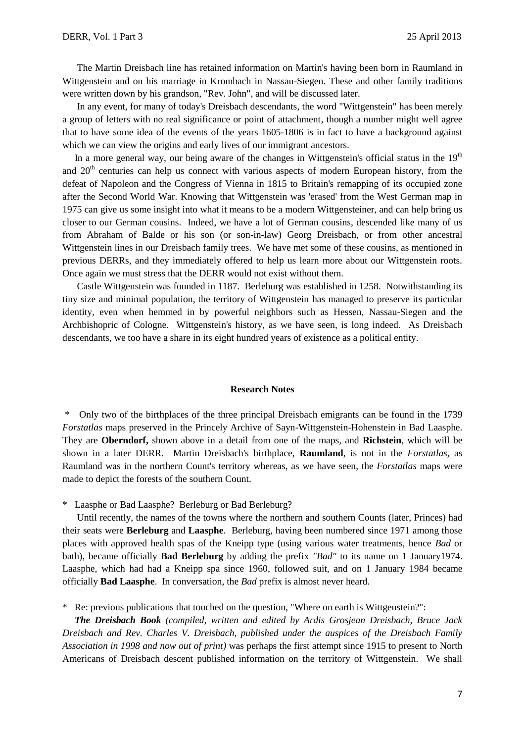The Martin Dreisbach line has retained information on Martin's having been born in Raumland in Wittgenstein and on his marriage in Krombach in Nassau-Siegen. These and other family traditions were written down by his grandson, "Rev. John", and will be discussed later.

 In any event, for many of today's Dreisbach descendants, the word "Wittgenstein" has been merely a group of letters with no real significance or point of attachment, though a number might well agree that to have some idea of the events of the years 1605-1806 is in fact to have a background against which we can view the origins and early lives of our immigrant ancestors.

In a more general way, our being aware of the changes in Wittgenstein's official status in the  $19<sup>th</sup>$ and 20<sup>th</sup> centuries can help us connect with various aspects of modern European history, from the defeat of Napoleon and the Congress of Vienna in 1815 to Britain's remapping of its occupied zone after the Second World War. Knowing that Wittgenstein was 'erased' from the West German map in 1975 can give us some insight into what it means to be a modern Wittgensteiner, and can help bring us closer to our German cousins. Indeed, we have a lot of German cousins, descended like many of us from Abraham of Balde or his son (or son-in-law) Georg Dreisbach, or from other ancestral Wittgenstein lines in our Dreisbach family trees. We have met some of these cousins, as mentioned in previous DERRs, and they immediately offered to help us learn more about our Wittgenstein roots. Once again we must stress that the DERR would not exist without them.

 Castle Wittgenstein was founded in 1187. Berleburg was established in 1258. Notwithstanding its tiny size and minimal population, the territory of Wittgenstein has managed to preserve its particular identity, even when hemmed in by powerful neighbors such as Hessen, Nassau-Siegen and the Archbishopric of Cologne. Wittgenstein's history, as we have seen, is long indeed. As Dreisbach descendants, we too have a share in its eight hundred years of existence as a political entity.

#### **Research Notes**

\* Only two of the birthplaces of the three principal Dreisbach emigrants can be found in the 1739 *Forstatlas* maps preserved in the Princely Archive of Sayn-Wittgenstein-Hohenstein in Bad Laasphe. They are **Oberndorf,** shown above in a detail from one of the maps, and **Richstein**, which will be shown in a later DERR. Martin Dreisbach's birthplace, **Raumland**, is not in the *Forstatlas*, as Raumland was in the northern Count's territory whereas, as we have seen, the *Forstatlas* maps were made to depict the forests of the southern Count.

\* Laasphe or Bad Laasphe? Berleburg or Bad Berleburg?

 Until recently, the names of the towns where the northern and southern Counts (later, Princes) had their seats were **Berleburg** and **Laasphe**. Berleburg, having been numbered since 1971 among those places with approved health spas of the Kneipp type (using various water treatments, hence *Bad* or bath), became officially **Bad Berleburg** by adding the prefix *"Bad"* to its name on 1 January1974. Laasphe, which had had a Kneipp spa since 1960, followed suit, and on 1 January 1984 became officially **Bad Laasphe**. In conversation, the *Bad* prefix is almost never heard.

\* Re: previous publications that touched on the question, "Where on earth is Wittgenstein?":

 *The Dreisbach Book (compiled, written and edited by Ardis Grosjean Dreisbach, Bruce Jack Dreisbach and Rev. Charles V. Dreisbach, published under the auspices of the Dreisbach Family Association in 1998 and now out of print)* was perhaps the first attempt since 1915 to present to North Americans of Dreisbach descent published information on the territory of Wittgenstein. We shall